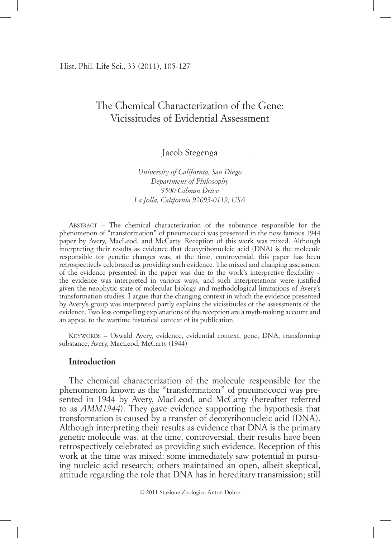Hist. Phil. Life Sci., 33 (2011), 105-127

# The Chemical Characterization of the Gene: Vicissitudes of Evidential Assessment

Jacob Stegenga

*University of California, San Diego Department of Philosophy 9500 Gilman Drive La Jolla, California 92093-0119, USA*

Abstract – The chemical characterization of the substance responsible for the phenomenon of "transformation" of pneumococci was presented in the now famous 1944 paper by Avery, MacLeod, and McCarty. Reception of this work was mixed. Although interpreting their results as evidence that deoxyribonucleic acid (DNA) is the molecule responsible for genetic changes was, at the time, controversial, this paper has been retrospectively celebrated as providing such evidence. The mixed and changing assessment of the evidence presented in the paper was due to the work's interpretive flexibility – the evidence was interpreted in various ways, and such interpretations were justified given the neophytic state of molecular biology and methodological limitations of Avery's transformation studies. I argue that the changing context in which the evidence presented by Avery's group was interpreted partly explains the vicissitudes of the assessments of the evidence. Two less compelling explanations of the reception are a myth-making account and an appeal to the wartime historical context of its publication.

Keywords – Oswald Avery, evidence, evidential context, gene, DNA, transforming substance, Avery, MacLeod, McCarty (1944)

## **Introduction**

The chemical characterization of the molecule responsible for the phenomenon known as the "transformation" of pneumococci was presented in 1944 by Avery, MacLeod, and McCarty (hereafter referred to as *AMM1944*). They gave evidence supporting the hypothesis that transformation is caused by a transfer of deoxyribonucleic acid (DNA). Although interpreting their results as evidence that DNA is the primary genetic molecule was, at the time, controversial, their results have been retrospectively celebrated as providing such evidence. Reception of this work at the time was mixed: some immediately saw potential in pursuing nucleic acid research; others maintained an open, albeit skeptical, attitude regarding the role that DNA has in hereditary transmission; still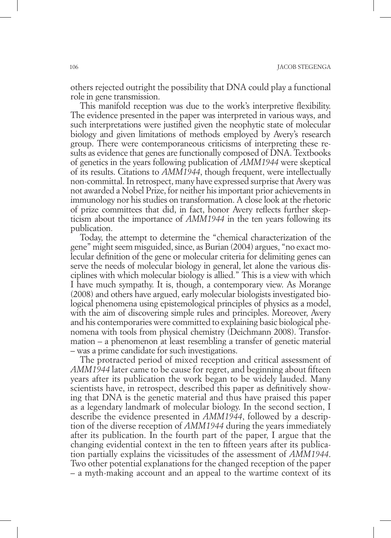others rejected outright the possibility that DNA could play a functional role in gene transmission.

This manifold reception was due to the work's interpretive flexibility. The evidence presented in the paper was interpreted in various ways, and such interpretations were justified given the neophytic state of molecular biology and given limitations of methods employed by Avery's research group. There were contemporaneous criticisms of interpreting these results as evidence that genes are functionally composed of DNA. Textbooks of genetics in the years following publication of *AMM1944* were skeptical of its results. Citations to *AMM1944*, though frequent, were intellectually non-committal. In retrospect, many have expressed surprise that Avery was not awarded a Nobel Prize, for neither his important prior achievements in immunology nor his studies on transformation. A close look at the rhetoric of prize committees that did, in fact, honor Avery reflects further skepticism about the importance of *AMM1944* in the ten years following its publication.

Today, the attempt to determine the "chemical characterization of the gene" might seem misguided, since, as Burian (2004) argues, "no exact molecular definition of the gene or molecular criteria for delimiting genes can serve the needs of molecular biology in general, let alone the various disciplines with which molecular biology is allied." This is a view with which I have much sympathy. It is, though, a contemporary view. As Morange (2008) and others have argued, early molecular biologists investigated biological phenomena using epistemological principles of physics as a model, with the aim of discovering simple rules and principles. Moreover, Avery and his contemporaries were committed to explaining basic biological phenomena with tools from physical chemistry (Deichmann 2008). Transformation – a phenomenon at least resembling a transfer of genetic material – was a prime candidate for such investigations.

The protracted period of mixed reception and critical assessment of *AMM1944* later came to be cause for regret, and beginning about fifteen years after its publication the work began to be widely lauded. Many scientists have, in retrospect, described this paper as definitively showing that DNA is the genetic material and thus have praised this paper as a legendary landmark of molecular biology. In the second section, I describe the evidence presented in *AMM1944*, followed by a description of the diverse reception of *AMM1944* during the years immediately after its publication. In the fourth part of the paper, I argue that the changing evidential context in the ten to fifteen years after its publication partially explains the vicissitudes of the assessment of *AMM1944*. Two other potential explanations for the changed reception of the paper – a myth-making account and an appeal to the wartime context of its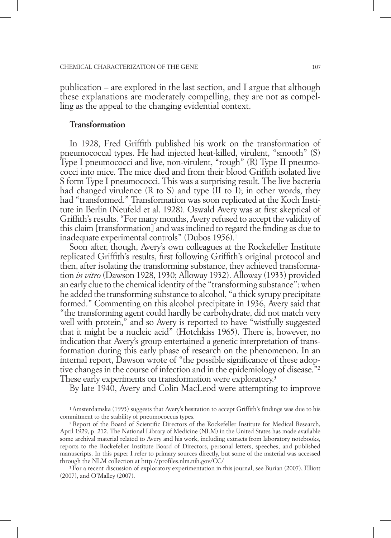publication – are explored in the last section, and I argue that although these explanations are moderately compelling, they are not as compelling as the appeal to the changing evidential context.

#### **Transformation**

In 1928, Fred Griffith published his work on the transformation of pneumococcal types. He had injected heat-killed, virulent, "smooth" (S) Type I pneumococci and live, non-virulent, "rough" (R) Type II pneumococci into mice. The mice died and from their blood Griffith isolated live S form Type I pneumococci. This was a surprising result. The live bacteria had changed virulence (R to S) and type (II to I); in other words, they had "transformed." Transformation was soon replicated at the Koch Institute in Berlin (Neufeld et al. 1928). Oswald Avery was at first skeptical of Griffith's results. "For many months, Avery refused to accept the validity of this claim [transformation] and was inclined to regard the finding as due to inadequate experimental controls" (Dubos 1956).1

Soon after, though, Avery's own colleagues at the Rockefeller Institute replicated Griffith's results, first following Griffith's original protocol and then, after isolating the transforming substance, they achieved transformation *in vitro* (Dawson 1928, 1930; Alloway 1932). Alloway (1933) provided an early clue to the chemical identity of the "transforming substance": when he added the transforming substance to alcohol, "a thick syrupy precipitate formed." Commenting on this alcohol precipitate in 1936, Avery said that "the transforming agent could hardly be carbohydrate, did not match very well with protein," and so Avery is reported to have "wistfully suggested that it might be a nucleic acid" (Hotchkiss 1965). There is, however, no indication that Avery's group entertained a genetic interpretation of transformation during this early phase of research on the phenomenon. In an internal report, Dawson wrote of "the possible significance of these adoptive changes in the course of infection and in the epidemiology of disease."2 These early experiments on transformation were exploratory.<sup>3</sup>

By late 1940, Avery and Colin MacLeod were attempting to improve

3 For a recent discussion of exploratory experimentation in this journal, see Burian (2007), Elliott (2007), and O'Malley (2007).

<sup>1</sup> Amsterdamska (1993) suggests that Avery's hesitation to accept Griffith's findings was due to his commitment to the stability of pneumococcus types. 2 Report of the Board of Scientific Directors of the Rockefeller Institute for Medical Research,

April 1929, p. 212. The National Library of Medicine (NLM) in the United States has made available some archival material related to Avery and his work, including extracts from laboratory notebooks, reports to the Rockefeller Institute Board of Directors, personal letters, speeches, and published manuscripts. In this paper I refer to primary sources directly, but some of the material was accessed through the NLM collection at http://profiles.nlm.nih.gov/CC/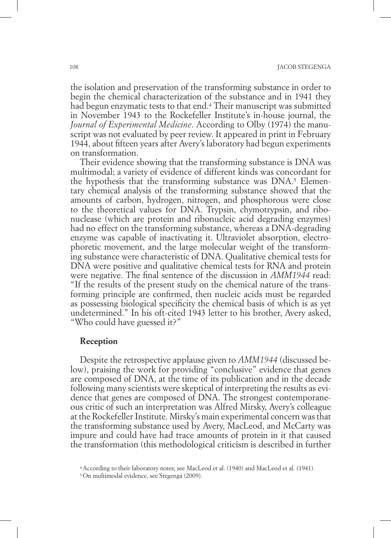the isolation and preservation of the transforming substance in order to begin the chemical characterization of the substance and in 1941 they had begun enzymatic tests to that end.4 Their manuscript was submitted in November 1943 to the Rockefeller Institute's in-house journal, the *Journal of Experimental Medicine*. According to Olby (1974) the manuscript was not evaluated by peer review. It appeared in print in February 1944, about fifteen years after Avery's laboratory had begun experiments on transformation.

Their evidence showing that the transforming substance is DNA was multimodal; a variety of evidence of different kinds was concordant for the hypothesis that the transforming substance was  $DNA^5$ . Elementary chemical analysis of the transforming substance showed that the amounts of carbon, hydrogen, nitrogen, and phosphorous were close to the theoretical values for DNA. Trypsin, chymotrypsin, and ribonuclease (which are protein and ribonucleic acid degrading enzymes) had no effect on the transforming substance, whereas a DNA-degrading enzyme was capable of inactivating it. Ultraviolet absorption, electrophoretic movement, and the large molecular weight of the transforming substance were characteristic of DNA. Qualitative chemical tests for DNA were positive and qualitative chemical tests for RNA and protein were negative. The final sentence of the discussion in *AMM1944* read: "If the results of the present study on the chemical nature of the transforming principle are confirmed, then nucleic acids must be regarded as possessing biological specificity the chemical basis of which is as yet undetermined." In his oft-cited 1943 letter to his brother, Avery asked, "Who could have guessed it?"

#### **Reception**

Despite the retrospective applause given to *AMM1944* (discussed below), praising the work for providing "conclusive" evidence that genes are composed of DNA, at the time of its publication and in the decade following many scientists were skeptical of interpreting the results as evidence that genes are composed of DNA. The strongest contemporaneous critic of such an interpretation was Alfred Mirsky, Avery's colleague at the Rockefeller Institute. Mirsky's main experimental concern was that the transforming substance used by Avery, MacLeod, and McCarty was impure and could have had trace amounts of protein in it that caused the transformation (this methodological criticism is described in further

<sup>4</sup> According to their laboratory notes; see MacLeod et al. (1940) and MacLeod et al. (1941).

<sup>5</sup> On multimodal evidence, see Stegenga (2009).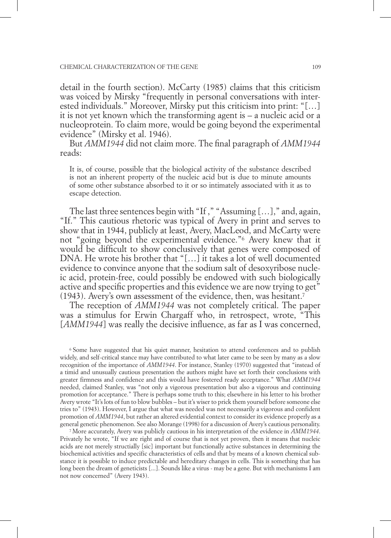#### Chemical Characterization of the Gene 109

detail in the fourth section). McCarty (1985) claims that this criticism was voiced by Mirsky "frequently in personal conversations with interested individuals." Moreover, Mirsky put this criticism into print: "[…] it is not yet known which the transforming agent is – a nucleic acid or a nucleoprotein. To claim more, would be going beyond the experimental evidence" (Mirsky et al. 1946).

But *AMM1944* did not claim more. The final paragraph of *AMM1944* reads:

It is, of course, possible that the biological activity of the substance described is not an inherent property of the nucleic acid but is due to minute amounts of some other substance absorbed to it or so intimately associated with it as to escape detection.

The last three sentences begin with "If ," "Assuming […]," and, again, "If." This cautious rhetoric was typical of Avery in print and serves to show that in 1944, publicly at least, Avery, MacLeod, and McCarty were not "going beyond the experimental evidence."6 Avery knew that it would be difficult to show conclusively that genes were composed of DNA. He wrote his brother that "[…] it takes a lot of well documented evidence to convince anyone that the sodium salt of desoxyribose nucleic acid, protein-free, could possibly be endowed with such biologically active and specific properties and this evidence we are now trying to get" (1943). Avery's own assessment of the evidence, then, was hesitant.7

The reception of *AMM1944* was not completely critical. The paper was a stimulus for Erwin Chargaff who, in retrospect, wrote, "This [*AMM1944*] was really the decisive influence, as far as I was concerned,

6 Some have suggested that his quiet manner, hesitation to attend conferences and to publish widely, and self-critical stance may have contributed to what later came to be seen by many as a slow recognition of the importance of *AMM1944*. For instance, Stanley (1970) suggested that "instead of a timid and unusually cautious presentation the authors might have set forth their conclusions with greater firmness and confidence and this would have fostered ready acceptance." What *AMM1944* needed, claimed Stanley, was "not only a vigorous presentation but also a vigorous and continuing promotion for acceptance." There is perhaps some truth to this; elsewhere in his letter to his brother Avery wrote "It's lots of fun to blow bubbles – but it's wiser to prick them yourself before someone else tries to" (1943). However, I argue that what was needed was not necessarily a vigorous and confident promotion of *AMM1944*, but rather an altered evidential context to consider its evidence properly as a general genetic phenomenon. See also Morange (1998) for a discussion of Avery's cautious personality.

7 More accurately, Avery was publicly cautious in his interpretation of the evidence in *AMM1944*. Privately he wrote, "If we are right and of course that is not yet proven, then it means that nucleic acids are not merely structially [sic] important but functionally active substances in determining the biochemical activities and specific characteristics of cells and that by means of a known chemical substance it is possible to induce predictable and hereditary changes in cells. This is something that has long been the dream of geneticists [...]. Sounds like a virus - may be a gene. But with mechanisms I am not now concerned" (Avery 1943).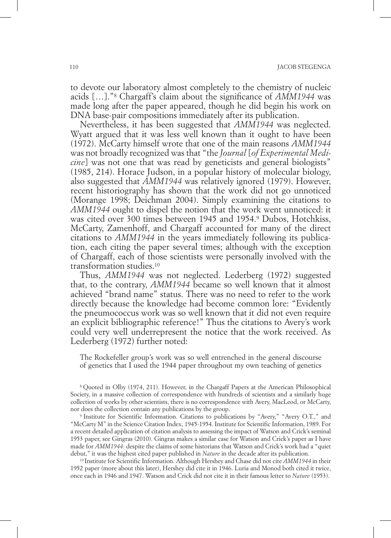to devote our laboratory almost completely to the chemistry of nucleic acids […]."8 Chargaff's claim about the significance of *AMM1944* was made long after the paper appeared, though he did begin his work on DNA base-pair compositions immediately after its publication.

Nevertheless, it has been suggested that *AMM1944* was neglected. Wyatt argued that it was less well known than it ought to have been (1972). McCarty himself wrote that one of the main reasons *AMM1944* was not broadly recognized was that "the *Journal* [*of Experimental Medicine*] was not one that was read by geneticists and general biologists" (1985, 214). Horace Judson, in a popular history of molecular biology, also suggested that *AMM1944* was relatively ignored (1979). However, recent historiography has shown that the work did not go unnoticed (Morange 1998; Deichman 2004). Simply examining the citations to *AMM1944* ought to dispel the notion that the work went unnoticed: it was cited over 300 times between 1945 and 1954.9 Dubos, Hotchkiss, McCarty, Zamenhoff, and Chargaff accounted for many of the direct citations to *AMM1944* in the years immediately following its publication, each citing the paper several times; although with the exception of Chargaff, each of those scientists were personally involved with the transformation studies.10

Thus, *AMM1944* was not neglected. Lederberg (1972) suggested that, to the contrary, *AMM1944* became so well known that it almost achieved "brand name" status. There was no need to refer to the work directly because the knowledge had become common lore: "Evidently the pneumococcus work was so well known that it did not even require an explicit bibliographic reference!" Thus the citations to Avery's work could very well underrepresent the notice that the work received. As Lederberg (1972) further noted:

The Rockefeller group's work was so well entrenched in the general discourse of genetics that I used the 1944 paper throughout my own teaching of genetics

8 Quoted in Olby (1974, 211). However, in the Chargaff Papers at the American Philosophical Society, in a massive collection of correspondence with hundreds of scientists and a similarly huge collection of works by other scientists, there is no correspondence with Avery, MacLeod, or McCarty, nor does the collection contain any publications by the group.<br>9 Institute for Scientific Information. Citations to publications by "Avery," "Avery O.T.," and

"McCarty M" in the Science Citation Index, 1945-1954. Institute for Scientific Information, 1989. For a recent detailed application of citation analysis to assessing the impact of Watson and Crick's seminal 1953 paper, see Gingras (2010). Gingras makes a similar case for Watson and Crick's paper as I have made for *AMM1944*: despite the claims of some historians that Watson and Crick's work had a "quiet debut," it was the highest cited paper published in *Nature* in the decade after its publication.

10 Institute for Scientific Information. Although Hershey and Chase did not cite *AMM1944* in their 1952 paper (more about this later), Hershey did cite it in 1946. Luria and Monod both cited it twice, once each in 1946 and 1947. Watson and Crick did not cite it in their famous letter to *Nature* (1953).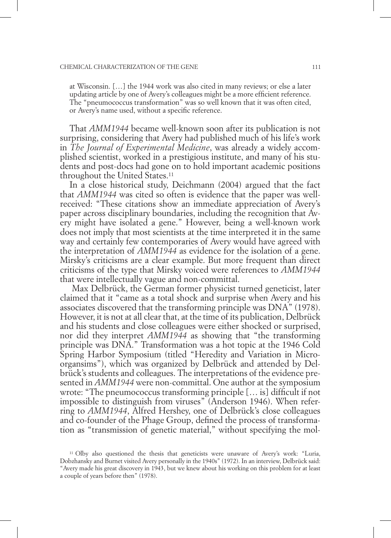#### Chemical Characterization of the Gene 111

at Wisconsin. […] the 1944 work was also cited in many reviews; or else a later updating article by one of Avery's colleagues might be a more efficient reference. The "pneumococcus transformation" was so well known that it was often cited, or Avery's name used, without a specific reference.

That *AMM1944* became well-known soon after its publication is not surprising, considering that Avery had published much of his life's work in *The Journal of Experimental Medicine*, was already a widely accomplished scientist, worked in a prestigious institute, and many of his students and post-docs had gone on to hold important academic positions throughout the United States.11

In a close historical study, Deichmann (2004) argued that the fact that *AMM1944* was cited so often is evidence that the paper was wellreceived: "These citations show an immediate appreciation of Avery's paper across disciplinary boundaries, including the recognition that Avery might have isolated a gene." However, being a well-known work does not imply that most scientists at the time interpreted it in the same way and certainly few contemporaries of Avery would have agreed with the interpretation of *AMM1944* as evidence for the isolation of a gene. Mirsky's criticisms are a clear example. But more frequent than direct criticisms of the type that Mirsky voiced were references to *AMM1944* that were intellectually vague and non-committal.

 Max Delbrück, the German former physicist turned geneticist, later claimed that it "came as a total shock and surprise when Avery and his associates discovered that the transforming principle was DNA" (1978). However, it is not at all clear that, at the time of its publication, Delbrück and his students and close colleagues were either shocked or surprised, nor did they interpret *AMM1944* as showing that "the transforming principle was DNA." Transformation was a hot topic at the 1946 Cold Spring Harbor Symposium (titled "Heredity and Variation in Microorgansims"), which was organized by Delbrück and attended by Delbrück's students and colleagues. The interpretations of the evidence presented in *AMM1944* were non-committal. One author at the symposium wrote: "The pneumococcus transforming principle [… is] difficult if not impossible to distinguish from viruses" (Anderson 1946). When referring to *AMM1944*, Alfred Hershey, one of Delbrück's close colleagues and co-founder of the Phage Group, defined the process of transformation as "transmission of genetic material," without specifying the mol-

<sup>11</sup> Olby also questioned the thesis that geneticists were unaware of Avery's work: "Luria, Dobzhansky and Burnet visited Avery personally in the 1940s" (1972). In an interview, Delbrück said: "Avery made his great discovery in 1943, but we knew about his working on this problem for at least a couple of years before then" (1978).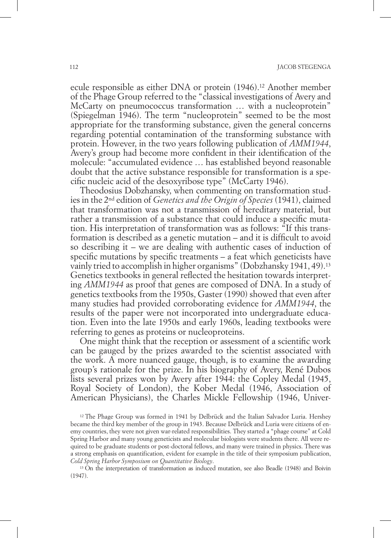ecule responsible as either DNA or protein (1946).<sup>12</sup> Another member of the Phage Group referred to the "classical investigations of Avery and McCarty on pneumococcus transformation ... with a nucleoprotein" (Spiegelman 1946). The term "nucleoprotein" seemed to be the most appropriate for the transforming substance, given the general concerns regarding potential contamination of the transforming substance with protein. However, in the two years following publication of *AMM1944*, Avery's group had become more confident in their identification of the molecule: "accumulated evidence … has established beyond reasonable doubt that the active substance responsible for transformation is a specific nucleic acid of the desoxyribose type" (McCarty 1946).

Theodosius Dobzhansky, when commenting on transformation studies in the 2nd edition of *Genetics and the Origin of Species* (1941), claimed that transformation was not a transmission of hereditary material, but rather a transmission of a substance that could induce a specific mutation. His interpretation of transformation was as follows: "If this transformation is described as a genetic mutation – and it is difficult to avoid so describing it – we are dealing with authentic cases of induction of specific mutations by specific treatments – a feat which geneticists have vainly tried to accomplish in higher organisms" (Dobzhansky 1941, 49).13 Genetics textbooks in general reflected the hesitation towards interpreting *AMM1944* as proof that genes are composed of DNA. In a study of genetics textbooks from the 1950s, Gaster (1990) showed that even after many studies had provided corroborating evidence for *AMM1944*, the results of the paper were not incorporated into undergraduate education. Even into the late 1950s and early 1960s, leading textbooks were referring to genes as proteins or nucleoproteins.

One might think that the reception or assessment of a scientific work can be gauged by the prizes awarded to the scientist associated with the work. A more nuanced gauge, though, is to examine the awarding group's rationale for the prize. In his biography of Avery, René Dubos lists several prizes won by Avery after 1944: the Copley Medal (1945, Royal Society of London), the Kober Medal (1946, Association of American Physicians), the Charles Mickle Fellowship (1946, Univer-

<sup>12</sup> The Phage Group was formed in 1941 by Delbrück and the Italian Salvador Luria. Hershey became the third key member of the group in 1943. Because Delbrück and Luria were citizens of enemy countries, they were not given war-related responsibilities. They started a "phage course" at Cold Spring Harbor and many young geneticists and molecular biologists were students there. All were required to be graduate students or post-doctoral fellows, and many were trained in physics. There was a strong emphasis on quantification, evident for example in the title of their symposium publication, *Cold Spring Harbor Symposium on Quantitative Biology*. 13 On the interpretation of transformation as induced mutation, see also Beadle (1948) and Boivin

(1947).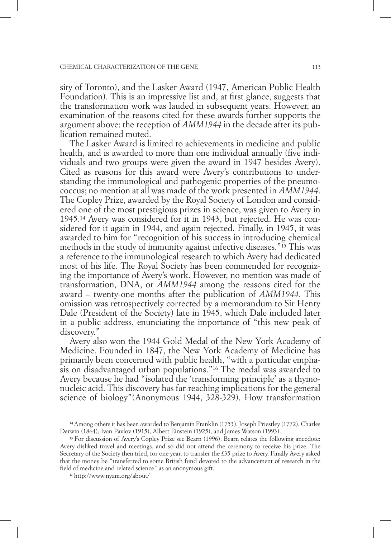sity of Toronto), and the Lasker Award (1947, American Public Health Foundation). This is an impressive list and, at first glance, suggests that the transformation work was lauded in subsequent years. However, an examination of the reasons cited for these awards further supports the argument above: the reception of *AMM1944* in the decade after its publication remained muted.

The Lasker Award is limited to achievements in medicine and public health, and is awarded to more than one individual annually (five individuals and two groups were given the award in 1947 besides Avery). Cited as reasons for this award were Avery's contributions to understanding the immunological and pathogenic properties of the pneumococcus; no mention at all was made of the work presented in *AMM1944*. The Copley Prize, awarded by the Royal Society of London and considered one of the most prestigious prizes in science, was given to Avery in 1945.14 Avery was considered for it in 1943, but rejected. He was considered for it again in 1944, and again rejected. Finally, in 1945, it was awarded to him for "recognition of his success in introducing chemical methods in the study of immunity against infective diseases."15 This was a reference to the immunological research to which Avery had dedicated most of his life. The Royal Society has been commended for recognizing the importance of Avery's work. However, no mention was made of transformation, DNA, or *AMM1944* among the reasons cited for the award – twenty-one months after the publication of *AMM1944*. This omission was retrospectively corrected by a memorandum to Sir Henry Dale (President of the Society) late in 1945, which Dale included later in a public address, enunciating the importance of "this new peak of discovery."

Avery also won the 1944 Gold Medal of the New York Academy of Medicine. Founded in 1847, the New York Academy of Medicine has primarily been concerned with public health, "with a particular emphasis on disadvantaged urban populations."16 The medal was awarded to Avery because he had "isolated the 'transforming principle' as a thymonucleic acid. This discovery has far-reaching implications for the general science of biology"(Anonymous 1944, 328-329). How transformation

<sup>14</sup> Among others it has been awarded to Benjamin Franklin (1753), Joseph Priestley (1772), Charles Darwin (1864), Ivan Pavlov (1915), Albert Einstein (1925), and James Watson (1993). 15 For discussion of Avery's Copley Prize see Bearn (1996). Bearn relates the following anecdote:

Avery disliked travel and meetings, and so did not attend the ceremony to receive his prize. The Secretary of the Society then tried, for one year, to transfer the £35 prize to Avery. Finally Avery asked that the money be "transferred to some British fund devoted to the advancement of research in the field of medicine and related science" as an anonymous gift.

<sup>16</sup> http://www.nyam.org/about/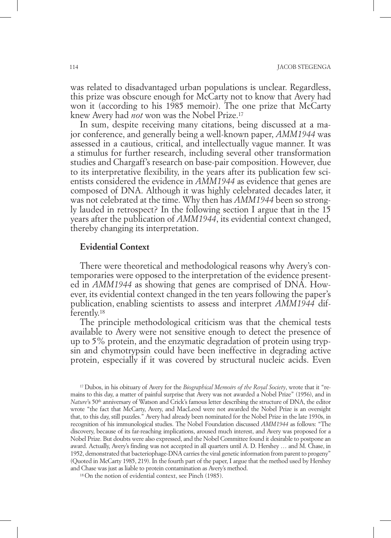was related to disadvantaged urban populations is unclear. Regardless, this prize was obscure enough for McCarty not to know that Avery had won it (according to his 1985 memoir). The one prize that McCarty knew Avery had *not* won was the Nobel Prize.17

In sum, despite receiving many citations, being discussed at a major conference, and generally being a well-known paper, *AMM1944* was assessed in a cautious, critical, and intellectually vague manner. It was a stimulus for further research, including several other transformation studies and Chargaff's research on base-pair composition. However, due to its interpretative flexibility, in the years after its publication few scientists considered the evidence in *AMM1944* as evidence that genes are composed of DNA. Although it was highly celebrated decades later, it was not celebrated at the time. Why then has *AMM1944* been so strongly lauded in retrospect? In the following section I argue that in the 15 years after the publication of *AMM1944*, its evidential context changed, thereby changing its interpretation.

### **Evidential Context**

There were theoretical and methodological reasons why Avery's contemporaries were opposed to the interpretation of the evidence presented in *AMM1944* as showing that genes are comprised of DNA. However, its evidential context changed in the ten years following the paper's publication, enabling scientists to assess and interpret *AMM1944* differently.18

The principle methodological criticism was that the chemical tests available to Avery were not sensitive enough to detect the presence of up to 5% protein, and the enzymatic degradation of protein using trypsin and chymotrypsin could have been ineffective in degrading active protein, especially if it was covered by structural nucleic acids. Even

17 Dubos, in his obituary of Avery for the *Biographical Memoirs of the Royal Society*, wrote that it "remains to this day, a matter of painful surprise that Avery was not awarded a Nobel Prize" (1956), and in *Nature*'s 50<sup>th</sup> anniversary of Watson and Crick's famous letter describing the structure of DNA, the editor wrote "the fact that McCarty, Avery, and MacLeod were not awarded the Nobel Prize is an oversight that, to this day, still puzzles." Avery had already been nominated for the Nobel Prize in the late 1930s, in recognition of his immunological studies. The Nobel Foundation discussed *AMM1944* as follows: "The discovery, because of its far-reaching implications, aroused much interest, and Avery was proposed for a Nobel Prize. But doubts were also expressed, and the Nobel Committee found it desirable to postpone an award. Actually, Avery's finding was not accepted in all quarters until A. D. Hershey … and M. Chase, in 1952, demonstrated that bacteriophage-DNA carries the viral genetic information from parent to progeny" (Quoted in McCarty 1985, 219). In the fourth part of the paper, I argue that the method used by Hershey and Chase was just as liable to protein contamination as Avery's method.

18 On the notion of evidential context, see Pinch (1985).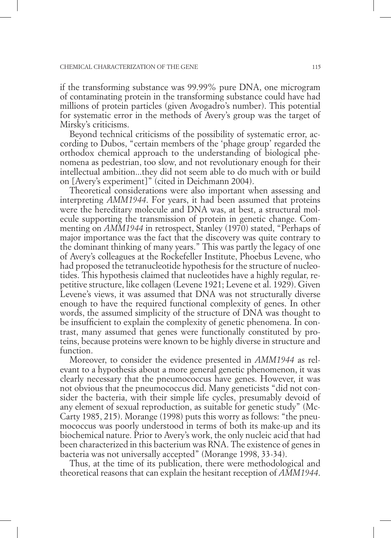if the transforming substance was 99.99% pure DNA, one microgram of contaminating protein in the transforming substance could have had millions of protein particles (given Avogadro's number). This potential for systematic error in the methods of Avery's group was the target of Mirsky's criticisms.

Beyond technical criticisms of the possibility of systematic error, according to Dubos, "certain members of the 'phage group' regarded the orthodox chemical approach to the understanding of biological phenomena as pedestrian, too slow, and not revolutionary enough for their intellectual ambition...they did not seem able to do much with or build on [Avery's experiment]" (cited in Deichmann 2004).

Theoretical considerations were also important when assessing and interpreting *AMM1944*. For years, it had been assumed that proteins were the hereditary molecule and DNA was, at best, a structural molecule supporting the transmission of protein in genetic change. Commenting on *AMM1944* in retrospect, Stanley (1970) stated, "Perhaps of major importance was the fact that the discovery was quite contrary to the dominant thinking of many years." This was partly the legacy of one of Avery's colleagues at the Rockefeller Institute, Phoebus Levene, who had proposed the tetranucleotide hypothesis for the structure of nucleotides. This hypothesis claimed that nucleotides have a highly regular, repetitive structure, like collagen (Levene 1921; Levene et al. 1929). Given Levene's views, it was assumed that DNA was not structurally diverse enough to have the required functional complexity of genes. In other words, the assumed simplicity of the structure of DNA was thought to be insufficient to explain the complexity of genetic phenomena. In contrast, many assumed that genes were functionally constituted by proteins, because proteins were known to be highly diverse in structure and function.

Moreover, to consider the evidence presented in *AMM1944* as relevant to a hypothesis about a more general genetic phenomenon, it was clearly necessary that the pneumococcus have genes. However, it was not obvious that the pneumococcus did. Many geneticists "did not consider the bacteria, with their simple life cycles, presumably devoid of any element of sexual reproduction, as suitable for genetic study" (Mc-Carty 1985, 215). Morange (1998) puts this worry as follows: "the pneumococcus was poorly understood in terms of both its make-up and its biochemical nature. Prior to Avery's work, the only nucleic acid that had been characterized in this bacterium was RNA. The existence of genes in bacteria was not universally accepted" (Morange 1998, 33-34).

Thus, at the time of its publication, there were methodological and theoretical reasons that can explain the hesitant reception of *AMM1944*.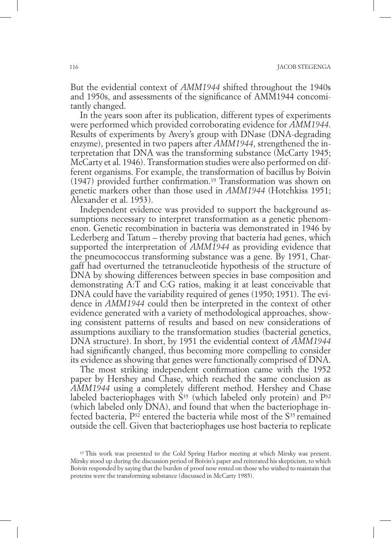But the evidential context of *AMM1944* shifted throughout the 1940s and 1950s, and assessments of the significance of AMM1944 concomitantly changed.

In the years soon after its publication, different types of experiments were performed which provided corroborating evidence for *AMM1944*. Results of experiments by Avery's group with DNase (DNA-degrading enzyme), presented in two papers after *AMM1944*, strengthened the interpretation that DNA was the transforming substance (McCarty 1945; McCarty et al. 1946). Transformation studies were also performed on different organisms. For example, the transformation of bacillus by Boivin (1947) provided further confirmation.19 Transformation was shown on genetic markers other than those used in *AMM1944* (Hotchkiss 1951; Alexander et al. 1953).

Independent evidence was provided to support the background assumptions necessary to interpret transformation as a genetic phenomenon. Genetic recombination in bacteria was demonstrated in 1946 by Lederberg and Tatum – thereby proving that bacteria had genes, which supported the interpretation of *AMM1944* as providing evidence that the pneumococcus transforming substance was a gene. By 1951, Chargaff had overturned the tetranucleotide hypothesis of the structure of DNA by showing differences between species in base composition and demonstrating A:T and C:G ratios, making it at least conceivable that DNA could have the variability required of genes (1950; 1951). The evidence in *AMM1944* could then be interpreted in the context of other evidence generated with a variety of methodological approaches, showing consistent patterns of results and based on new considerations of assumptions auxiliary to the transformation studies (bacterial genetics, DNA structure). In short, by 1951 the evidential context of *AMM1944* had significantly changed, thus becoming more compelling to consider its evidence as showing that genes were functionally comprised of DNA.

The most striking independent confirmation came with the 1952 paper by Hershey and Chase, which reached the same conclusion as *AMM1944* using a completely different method. Hershey and Chase labeled bacteriophages with  $S^{35}$  (which labeled only protein) and  $P^{32}$ (which labeled only DNA), and found that when the bacteriophage infected bacteria,  $P^{32}$  entered the bacteria while most of the  $S^{35}$  remained outside the cell. Given that bacteriophages use host bacteria to replicate

<sup>19</sup> This work was presented to the Cold Spring Harbor meeting at which Mirsky was present. Mirsky stood up during the discussion period of Boivin's paper and reiterated his skepticism, to which Boivin responded by saying that the burden of proof now rested on those who wished to maintain that proteins were the transforming substance (discussed in McCarty 1985).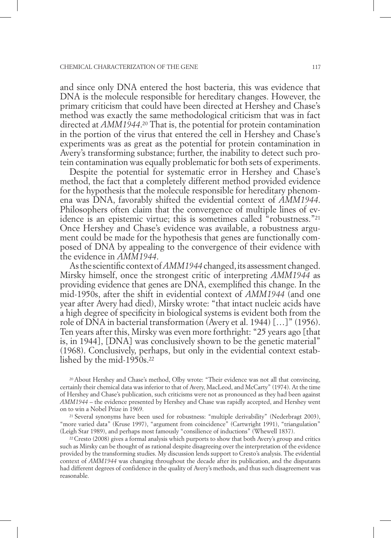and since only DNA entered the host bacteria, this was evidence that DNA is the molecule responsible for hereditary changes. However, the primary criticism that could have been directed at Hershey and Chase's method was exactly the same methodological criticism that was in fact directed at *AMM1944*. 20 That is, the potential for protein contamination in the portion of the virus that entered the cell in Hershey and Chase's experiments was as great as the potential for protein contamination in Avery's transforming substance; further, the inability to detect such protein contamination was equally problematic for both sets of experiments.

Despite the potential for systematic error in Hershey and Chase's method, the fact that a completely different method provided evidence for the hypothesis that the molecule responsible for hereditary phenomena was DNA, favorably shifted the evidential context of *AMM1944*. Philosophers often claim that the convergence of multiple lines of evidence is an epistemic virtue; this is sometimes called "robustness."21 Once Hershey and Chase's evidence was available, a robustness argument could be made for the hypothesis that genes are functionally composed of DNA by appealing to the convergence of their evidence with the evidence in *AMM1944*.

As the scientific context of *AMM1944* changed, its assessment changed. Mirsky himself, once the strongest critic of interpreting *AMM1944* as providing evidence that genes are DNA, exemplified this change. In the mid-1950s, after the shift in evidential context of *AMM1944* (and one year after Avery had died), Mirsky wrote: "that intact nucleic acids have a high degree of specificity in biological systems is evident both from the role of DNA in bacterial transformation (Avery et al. 1944) […]" (1956). Ten years after this, Mirsky was even more forthright: "25 years ago [that is, in 1944], [DNA] was conclusively shown to be the genetic material" (1968). Conclusively, perhaps, but only in the evidential context established by the mid-1950s.22

20 About Hershey and Chase's method, Olby wrote: "Their evidence was not all that convincing, certainly their chemical data was inferior to that of Avery, MacLeod, and McCarty" (1974). At the time of Hershey and Chase's publication, such criticisms were not as pronounced as they had been against *AMM1944* – the evidence presented by Hershey and Chase was rapidly accepted, and Hershey went on to win a Nobel Prize in 1969.

21 Several synonyms have been used for robustness: "multiple derivability" (Nederbragt 2003), "more varied data" (Kruse 1997), "argument from coincidence" (Cartwright 1991), "triangulation" (Leigh Star 1989), and perhaps most famously "consilience of inductions" (Whewell 1837).

22 Cresto (2008) gives a formal analysis which purports to show that both Avery's group and critics such as Mirsky can be thought of as rational despite disagreeing over the interpretation of the evidence provided by the transforming studies. My discussion lends support to Cresto's analysis. The evidential context of *AMM1944* was changing throughout the decade after its publication, and the disputants had different degrees of confidence in the quality of Avery's methods, and thus such disagreement was reasonable.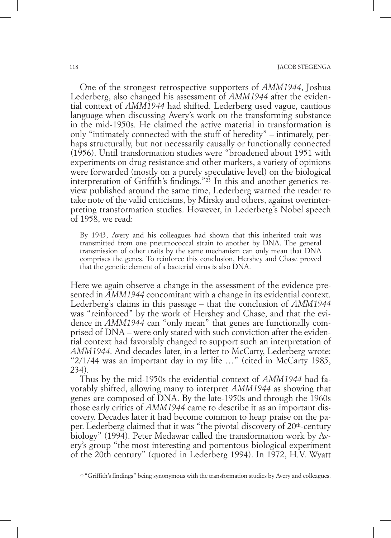One of the strongest retrospective supporters of *AMM1944*, Joshua Lederberg, also changed his assessment of *AMM1944* after the evidential context of *AMM1944* had shifted. Lederberg used vague, cautious language when discussing Avery's work on the transforming substance in the mid-1950s. He claimed the active material in transformation is only "intimately connected with the stuff of heredity" – intimately, perhaps structurally, but not necessarily causally or functionally connected (1956). Until transformation studies were "broadened about 1951 with experiments on drug resistance and other markers, a variety of opinions were forwarded (mostly on a purely speculative level) on the biological interpretation of Griffith's findings."23 In this and another genetics review published around the same time, Lederberg warned the reader to take note of the valid criticisms, by Mirsky and others, against overinterpreting transformation studies. However, in Lederberg's Nobel speech of 1958, we read:

By 1943, Avery and his colleagues had shown that this inherited trait was transmitted from one pneumococcal strain to another by DNA. The general transmission of other traits by the same mechanism can only mean that DNA comprises the genes. To reinforce this conclusion, Hershey and Chase proved that the genetic element of a bacterial virus is also DNA.

Here we again observe a change in the assessment of the evidence presented in *AMM1944* concomitant with a change in its evidential context. Lederberg's claims in this passage – that the conclusion of *AMM1944* was "reinforced" by the work of Hershey and Chase, and that the evidence in *AMM1944* can "only mean" that genes are functionally comprised of DNA – were only stated with such conviction after the evidential context had favorably changed to support such an interpretation of *AMM1944*. And decades later, in a letter to McCarty, Lederberg wrote: "2/1/44 was an important day in my life …" (cited in McCarty 1985, 234).

Thus by the mid-1950s the evidential context of *AMM1944* had favorably shifted, allowing many to interpret *AMM1944* as showing that genes are composed of DNA. By the late-1950s and through the 1960s those early critics of *AMM1944* came to describe it as an important discovery. Decades later it had become common to heap praise on the paper. Lederberg claimed that it was "the pivotal discovery of 20<sup>th</sup>-century biology" (1994). Peter Medawar called the transformation work by Avery's group "the most interesting and portentous biological experiment of the 20th century" (quoted in Lederberg 1994). In 1972, H.V. Wyatt

<sup>23</sup> "Griffith's findings" being synonymous with the transformation studies by Avery and colleagues.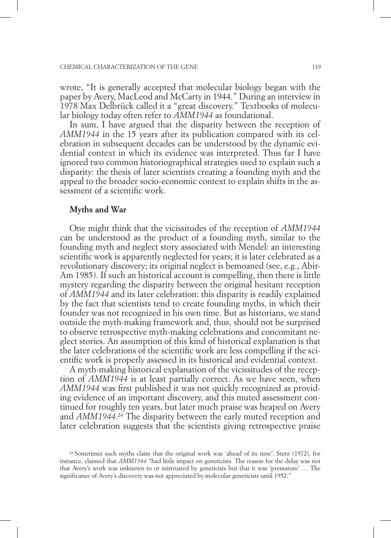wrote, "It is generally accepted that molecular biology began with the paper by Avery, MacLeod and McCarty in 1944." During an interview in 1978 Max Delbrück called it a "great discovery." Textbooks of molecular biology today often refer to *AMM1944* as foundational.

In sum, I have argued that the disparity between the reception of *AMM1944* in the 15 years after its publication compared with its celebration in subsequent decades can be understood by the dynamic evidential context in which its evidence was interpreted. Thus far I have ignored two common historiographical strategies used to explain such a disparity: the thesis of later scientists creating a founding myth and the appeal to the broader socio-economic context to explain shifts in the assessment of a scientific work.

## **Myths and War**

One might think that the vicissitudes of the reception of *AMM1944* can be understood as the product of a founding myth, similar to the founding myth and neglect story associated with Mendel: an interesting scientific work is apparently neglected for years; it is later celebrated as a revolutionary discovery; its original neglect is bemoaned (see, e.g., Abir-Am 1985). If such an historical account is compelling, then there is little mystery regarding the disparity between the original hesitant reception of *AMM1944* and its later celebration: this disparity is readily explained by the fact that scientists tend to create founding myths, in which their founder was not recognized in his own time. But as historians, we stand outside the myth-making framework and, thus, should not be surprised to observe retrospective myth-making celebrations and concomitant neglect stories. An assumption of this kind of historical explanation is that the later celebrations of the scientific work are less compelling if the scientific work is properly assessed in its historical and evidential context.

A myth-making historical explanation of the vicissitudes of the reception of *AMM1944* is at least partially correct. As we have seen, when *AMM1944* was first published it was not quickly recognized as providing evidence of an important discovery, and this muted assessment continued for roughly ten years, but later much praise was heaped on Avery and *AMM1944*. 24 The disparity between the early muted reception and later celebration suggests that the scientists giving retrospective praise

<sup>24</sup> Sometimes such myths claim that the original work was 'ahead of its time'. Stent (1972), for instance, claimed that *AMM1944* "had little impact on geneticists. The reason for the delay was not that Avery's work was unknown to or mistrusted by geneticists but that it was 'premature' … The significance of Avery's discovery was not appreciated by molecular geneticists until 1952."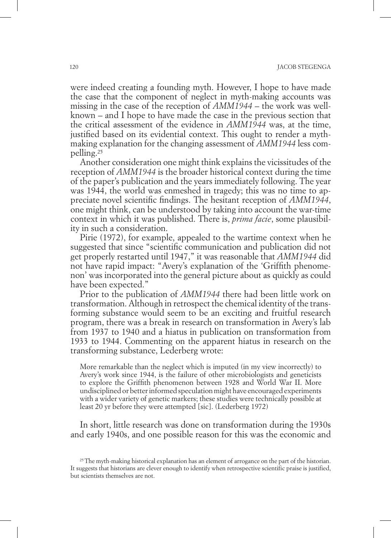were indeed creating a founding myth. However, I hope to have made the case that the component of neglect in myth-making accounts was missing in the case of the reception of *AMM1944* – the work was wellknown – and I hope to have made the case in the previous section that the critical assessment of the evidence in *AMM1944* was, at the time, justified based on its evidential context. This ought to render a mythmaking explanation for the changing assessment of *AMM1944* less compelling.25

Another consideration one might think explains the vicissitudes of the reception of *AMM1944* is the broader historical context during the time of the paper's publication and the years immediately following. The year was 1944, the world was enmeshed in tragedy; this was no time to appreciate novel scientific findings. The hesitant reception of *AMM1944*, one might think, can be understood by taking into account the war-time context in which it was published. There is, *prima facie*, some plausibility in such a consideration.

Pirie (1972), for example, appealed to the wartime context when he suggested that since "scientific communication and publication did not get properly restarted until 1947," it was reasonable that *AMM1944* did not have rapid impact: "Avery's explanation of the 'Griffith phenomenon' was incorporated into the general picture about as quickly as could have been expected."

Prior to the publication of *AMM1944* there had been little work on transformation. Although in retrospect the chemical identity of the transforming substance would seem to be an exciting and fruitful research program, there was a break in research on transformation in Avery's lab from 1937 to 1940 and a hiatus in publication on transformation from 1933 to 1944. Commenting on the apparent hiatus in research on the transforming substance, Lederberg wrote:

More remarkable than the neglect which is imputed (in my view incorrectly) to Avery's work since 1944, is the failure of other microbiologists and geneticists to explore the Griffith phenomenon between 1928 and World War II. More undisciplined or better informed speculation might have encouraged experiments with a wider variety of genetic markers; these studies were technically possible at least 20 yr before they were attempted [sic]. (Lederberg 1972)

In short, little research was done on transformation during the 1930s and early 1940s, and one possible reason for this was the economic and

<sup>&</sup>lt;sup>25</sup> The myth-making historical explanation has an element of arrogance on the part of the historian. It suggests that historians are clever enough to identify when retrospective scientific praise is justified, but scientists themselves are not.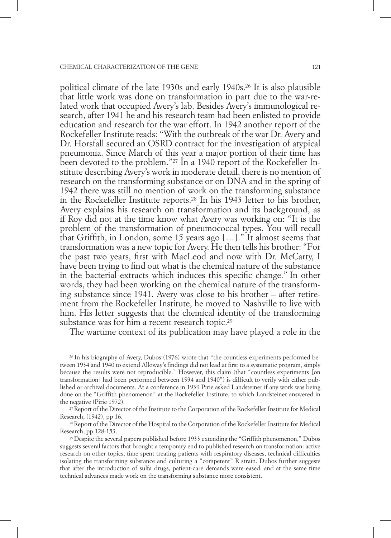political climate of the late 1930s and early 1940s.26 It is also plausible that little work was done on transformation in part due to the war-related work that occupied Avery's lab. Besides Avery's immunological research, after 1941 he and his research team had been enlisted to provide education and research for the war effort. In 1942 another report of the Rockefeller Institute reads: "With the outbreak of the war Dr. Avery and Dr. Horsfall secured an OSRD contract for the investigation of atypical pneumonia. Since March of this year a major portion of their time has been devoted to the problem."27 In a 1940 report of the Rockefeller Institute describing Avery's work in moderate detail, there is no mention of research on the transforming substance or on DNA and in the spring of 1942 there was still no mention of work on the transforming substance in the Rockefeller Institute reports.28 In his 1943 letter to his brother, Avery explains his research on transformation and its background, as if Roy did not at the time know what Avery was working on: "It is the problem of the transformation of pneumococcal types. You will recall that Griffith, in London, some 15 years ago […]." It almost seems that transformation was a new topic for Avery. He then tells his brother: "For the past two years, first with MacLeod and now with Dr. McCarty, I have been trying to find out what is the chemical nature of the substance in the bacterial extracts which induces this specific change." In other words, they had been working on the chemical nature of the transforming substance since 1941. Avery was close to his brother – after retirement from the Rockefeller Institute, he moved to Nashville to live with him. His letter suggests that the chemical identity of the transforming substance was for him a recent research topic.<sup>29</sup>

The wartime context of its publication may have played a role in the

26 In his biography of Avery, Dubos (1976) wrote that "the countless experiments performed between 1934 and 1940 to extend Alloway's findings did not lead at first to a systematic program, simply because the results were not reproducible." However, this claim (that "countless experiments [on transformation] had been performed between 1934 and 1940") is difficult to verify with either published or archival documents. At a conference in 1939 Pirie asked Landsteiner if any work was being done on the "Griffith phenomenon" at the Rockefeller Institute, to which Landsteiner answered in

the negative (Pirie 1972). 27 Report of the Director of the Institute to the Corporation of the Rockefeller Institute for Medical Research, (1942), pp 16.

28 Report of the Director of the Hospital to the Corporation of the Rockefeller Institute for Medical Research, pp 128-153.

29 Despite the several papers published before 1933 extending the "Griffith phenomenon," Dubos suggests several factors that brought a temporary end to published research on transformation: active research on other topics, time spent treating patients with respiratory diseases, technical difficulties isolating the transforming substance and culturing a "competent" R strain. Dubos further suggests that after the introduction of sulfa drugs, patient-care demands were eased, and at the same time technical advances made work on the transforming substance more consistent.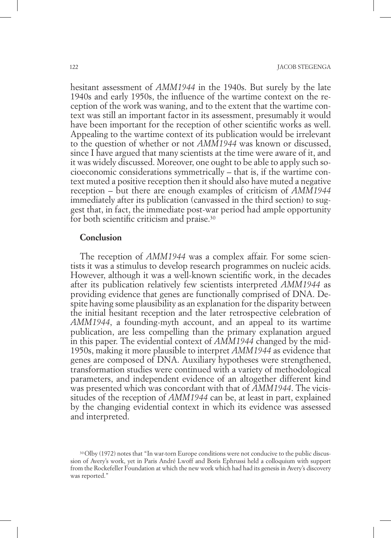hesitant assessment of *AMM1944* in the 1940s. But surely by the late 1940s and early 1950s, the influence of the wartime context on the reception of the work was waning, and to the extent that the wartime context was still an important factor in its assessment, presumably it would have been important for the reception of other scientific works as well. Appealing to the wartime context of its publication would be irrelevant to the question of whether or not *AMM1944* was known or discussed, since I have argued that many scientists at the time were aware of it, and it was widely discussed. Moreover, one ought to be able to apply such socioeconomic considerations symmetrically – that is, if the wartime context muted a positive reception then it should also have muted a negative reception – but there are enough examples of criticism of *AMM1944* immediately after its publication (canvassed in the third section) to suggest that, in fact, the immediate post-war period had ample opportunity for both scientific criticism and praise.30

# **Conclusion**

The reception of *AMM1944* was a complex affair. For some scientists it was a stimulus to develop research programmes on nucleic acids. However, although it was a well-known scientific work, in the decades after its publication relatively few scientists interpreted *AMM1944* as providing evidence that genes are functionally comprised of DNA. Despite having some plausibility as an explanation for the disparity between the initial hesitant reception and the later retrospective celebration of *AMM1944*, a founding-myth account, and an appeal to its wartime publication, are less compelling than the primary explanation argued in this paper. The evidential context of *AMM1944* changed by the mid-1950s, making it more plausible to interpret *AMM1944* as evidence that genes are composed of DNA. Auxiliary hypotheses were strengthened, transformation studies were continued with a variety of methodological parameters, and independent evidence of an altogether different kind was presented which was concordant with that of *AMM1944*. The vicissitudes of the reception of *AMM1944* can be, at least in part, explained by the changing evidential context in which its evidence was assessed and interpreted.

<sup>30</sup> Olby (1972) notes that "In war-torn Europe conditions were not conducive to the public discussion of Avery's work, yet in Paris André Lwoff and Boris Ephrussi held a colloquium with support from the Rockefeller Foundation at which the new work which had had its genesis in Avery's discovery was reported."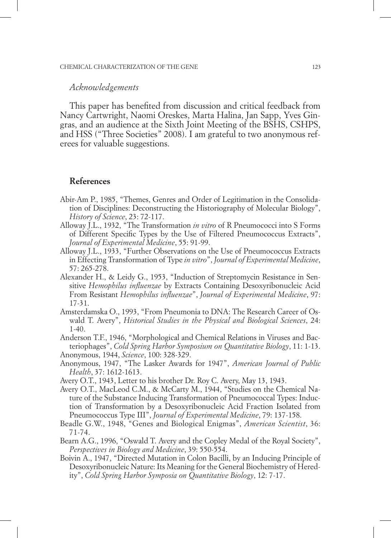#### *Acknowledgements*

This paper has benefited from discussion and critical feedback from Nancy Cartwright, Naomi Oreskes, Marta Halina, Jan Sapp, Yves Gingras, and an audience at the Sixth Joint Meeting of the BSHS, CSHPS, and HSS ("Three Societies" 2008). I am grateful to two anonymous referees for valuable suggestions.

## **References**

- Abir-Am P., 1985, "Themes, Genres and Order of Legitimation in the Consolidation of Disciplines: Deconstructing the Historiography of Molecular Biology", *History of Science*, 23: 72-117.
- Alloway J.L., 1932, "The Transformation *in vitro* of R Pneumococci into S Forms of Different Specific Types by the Use of Filtered Pneumococcus Extracts", *Journal of Experimental Medicine*, 55: 91-99.
- Alloway J.L., 1933, "Further Observations on the Use of Pneumococcus Extracts in Effecting Transformation of Type *in vitro*", *Journal of Experimental Medicine*, 57: 265-278.
- Alexander H., & Leidy G., 1953, "Induction of Streptomycin Resistance in Sensitive *Hemophilus influenzae* by Extracts Containing Desoxyribonucleic Acid From Resistant *Hemophilus influenzae*", *Journal of Experimental Medicine*, 97: 17-31.
- Amsterdamska O., 1993, "From Pneumonia to DNA: The Research Career of Oswald T. Avery", *Historical Studies in the Physical and Biological Sciences*, 24: 1-40.
- Anderson T.F., 1946, "Morphological and Chemical Relations in Viruses and Bacteriophages", *Cold Spring Harbor Symposium on Quantitative Biology*, 11: 1-13. Anonymous, 1944, *Science*, 100: 328-329.
- Anonymous, 1947, "The Lasker Awards for 1947", *American Journal of Public Health*, 37: 1612-1613.
- Avery O.T., 1943, Letter to his brother Dr. Roy C. Avery, May 13, 1943.
- Avery O.T., MacLeod C.M., & McCarty M., 1944, "Studies on the Chemical Nature of the Substance Inducing Transformation of Pneumococcal Types: Induction of Transformation by a Desoxyribonucleic Acid Fraction Isolated from Pneumococcus Type III", *Journal of Experimental Medicine*, 79: 137-158.
- Beadle G.W., 1948, "Genes and Biological Enigmas", *American Scientist*, 36: 71-74.
- Bearn A.G., 1996, "Oswald T. Avery and the Copley Medal of the Royal Society", *Perspectives in Biology and Medicine*, 39: 550-554.
- Boivin A., 1947, "Directed Mutation in Colon Bacilli, by an Inducing Principle of Desoxyribonucleic Nature: Its Meaning for the General Biochemistry of Heredity", *Cold Spring Harbor Symposia on Quantitative Biology*, 12: 7-17.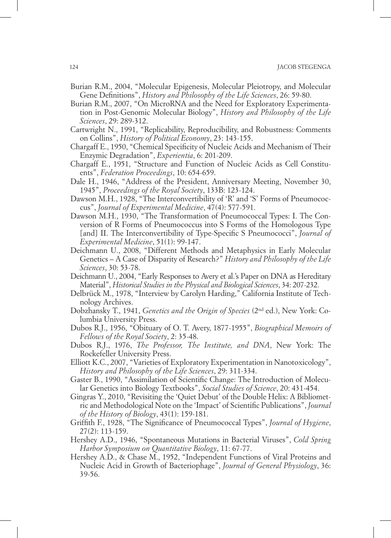- Burian R.M., 2004, "Molecular Epigenesis, Molecular Pleiotropy, and Molecular Gene Definitions", *History and Philosophy of the Life Sciences*, 26: 59-80.
- Burian R.M., 2007, "On MicroRNA and the Need for Exploratory Experimentation in Post-Genomic Molecular Biology", *History and Philosophy of the Life Sciences*, 29: 289-312.
- Cartwright N., 1991, "Replicability, Reproducibility, and Robustness: Comments on Collins", *History of Political Economy*, 23: 143-155.
- Chargaff E., 1950, "Chemical Specificity of Nucleic Acids and Mechanism of Their Enzymic Degradation", *Experientia*, 6: 201-209.
- Chargaff E., 1951, "Structure and Function of Nucleic Acids as Cell Constituents", *Federation Proceedings*, 10: 654-659.
- Dale H., 1946, "Address of the President, Anniversary Meeting, November 30, 1945", *Proceedings of the Royal Society*, 133B: 123-124.
- Dawson M.H., 1928, "The Interconvertibility of 'R' and 'S' Forms of Pneumococcus", *Journal of Experimental Medicine*, 47(4): 577-591.
- Dawson M.H., 1930, "The Transformation of Pneumococcal Types: I. The Conversion of R Forms of Pneumococcus into S Forms of the Homologous Type [and] II. The Interconvertibility of Type-Specific S Pneumococci", *Journal of Experimental Medicine*, 51(1): 99-147.
- Deichmann U., 2008, "Different Methods and Metaphysics in Early Molecular Genetics – A Case of Disparity of Research?" *History and Philosophy of the Life Sciences*, 30: 53-78.
- Deichmann U., 2004, "Early Responses to Avery et al.'s Paper on DNA as Hereditary Material", *Historical Studies in the Physical and Biological Sciences*, 34: 207-232.
- Delbrück M., 1978, "Interview by Carolyn Harding," California Institute of Technology Archives.
- Dobzhansky T., 1941, *Genetics and the Origin of Species* (2nd ed.), New York: Columbia University Press.
- Dubos R.J., 1956, "Obituary of O. T. Avery, 1877-1955", *Biographical Memoirs of Fellows of the Royal Society*, 2: 35-48.
- Dubos R.J., 1976, *The Professor, The Institute, and DNA*, New York: The Rockefeller University Press.
- Elliott K.C., 2007, "Varieties of Exploratory Experimentation in Nanotoxicology", *History and Philosophy of the Life Sciences*, 29: 311-334.
- Gaster B., 1990, "Assimilation of Scientific Change: The Introduction of Molecular Genetics into Biology Textbooks", *Social Studies of Science*, 20: 431-454.
- Gingras Y., 2010, "Revisiting the 'Quiet Debut' of the Double Helix: A Bibliometric and Methodological Note on the 'Impact' of Scientific Publications", *Journal of the History of Biology*, 43(1): 159-181.
- Griffith F., 1928, "The Significance of Pneumococcal Types", *Journal of Hygiene*, 27(2): 113-159.
- Hershey A.D., 1946, "Spontaneous Mutations in Bacterial Viruses", *Cold Spring Harbor Symposium on Quantitative Biology*, 11: 67-77.
- Hershey A.D., & Chase M., 1952, "Independent Functions of Viral Proteins and Nucleic Acid in Growth of Bacteriophage", *Journal of General Physiology*, 36: 39-56.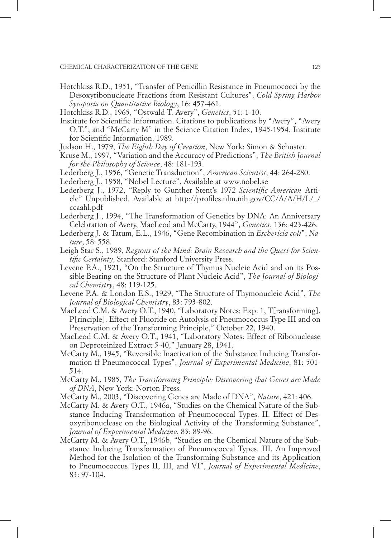- Hotchkiss R.D., 1951, "Transfer of Penicillin Resistance in Pneumococci by the Desoxyribonucleate Fractions from Resistant Cultures", *Cold Spring Harbor Symposia on Quantitative Biology*, 16: 457-461.
- Hotchkiss R.D., 1965, "Ostwald T. Avery", *Genetics*, 51: 1-10.
- Institute for Scientific Information. Citations to publications by "Avery", "Avery O.T.", and "McCarty M" in the Science Citation Index, 1945-1954. Institute for Scientific Information, 1989.
- Judson H., 1979, *The Eighth Day of Creation*, New York: Simon & Schuster.
- Kruse M., 1997, "Variation and the Accuracy of Predictions", *The British Journal for the Philosophy of Science*, 48: 181-193.
- Lederberg J., 1956, "Genetic Transduction", *American Scientist*, 44: 264-280.
- Lederberg J., 1958, "Nobel Lecture", Available at www.nobel.se
- Lederberg J., 1972, "Reply to Gunther Stent's 1972 *Scientific American* Article" Unpublished. Available at http://profiles.nlm.nih.gov/CC/A/A/H/L/\_/ ccaahl.pdf
- Lederberg J., 1994, "The Transformation of Genetics by DNA: An Anniversary Celebration of Avery, MacLeod and McCarty, 1944", *Genetics*, 136: 423-426.
- Lederberg J. & Tatum, E.L., 1946, "Gene Recombination in *Eschericia coli*", *Nature*, 58: 558.
- Leigh Star S., 1989, *Regions of the Mind: Brain Research and the Quest for Scientific Certainty*, Stanford: Stanford University Press.
- Levene P.A., 1921, "On the Structure of Thymus Nucleic Acid and on its Possible Bearing on the Structure of Plant Nucleic Acid", *The Journal of Biological Chemistry*, 48: 119-125.
- Levene P.A. & London E.S., 1929, "The Structure of Thymonucleic Acid", *The Journal of Biological Chemistry*, 83: 793-802.
- MacLeod C.M. & Avery O.T., 1940, "Laboratory Notes: Exp. 1, T[ransforming]. P[rinciple]. Effect of Fluoride on Autolysis of Pneumococcus Type III and on Preservation of the Transforming Principle," October 22, 1940.
- MacLeod C.M. & Avery O.T., 1941, "Laboratory Notes: Effect of Ribonuclease on Deproteinized Extract 5-40," January 28, 1941.
- McCarty M., 1945, "Reversible Inactivation of the Substance Inducing Transformation ff Pneumococcal Types", *Journal of Experimental Medicine*, 81: 501- 514.
- McCarty M., 1985, *The Transforming Principle: Discovering that Genes are Made of DNA*, New York: Norton Press.
- McCarty M., 2003, "Discovering Genes are Made of DNA", *Nature*, 421: 406.
- McCarty M. & Avery O.T., 1946a, "Studies on the Chemical Nature of the Substance Inducing Transformation of Pneumococcal Types. II. Effect of Desoxyribonuclease on the Biological Activity of the Transforming Substance", *Journal of Experimental Medicine*, 83: 89-96.
- McCarty M. & Avery O.T., 1946b, "Studies on the Chemical Nature of the Substance Inducing Transformation of Pneumococcal Types. III. An Improved Method for the Isolation of the Transforming Substance and its Application to Pneumococcus Types II, III, and VI", *Journal of Experimental Medicine*, 83: 97-104.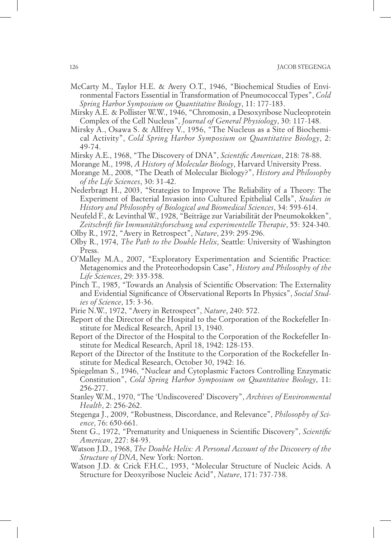- McCarty M., Taylor H.E. & Avery O.T., 1946, "Biochemical Studies of Environmental Factors Essential in Transformation of Pneumococcal Types", *Cold Spring Harbor Symposium on Quantitative Biology*, 11: 177-183.
- Mirsky A.E. & Pollister W.W., 1946, "Chromosin, a Desoxyribose Nucleoprotein Complex of the Cell Nucleus", *Journal of General Physiology*, 30: 117-148.
- Mirsky A., Osawa S. & Allfrey V., 1956, "The Nucleus as a Site of Biochemical Activity", *Cold Spring Harbor Symposium on Quantitative Biology*, 2: 49-74.
- Mirsky A.E., 1968, "The Discovery of DNA", *Scientific American*, 218: 78-88.
- Morange M., 1998, *A History of Molecular Biology*, Harvard University Press.
- Morange M., 2008, "The Death of Molecular Biology?", *History and Philosophy of the Life Sciences*, 30: 31-42.
- Nederbragt H., 2003, "Strategies to Improve The Reliability of a Theory: The Experiment of Bacterial Invasion into Cultured Epithelial Cells", *Studies in History and Philosophy of Biological and Biomedical Sciences*, 34: 593-614.
- Neufeld F., & Levinthal W., 1928, "Beiträge zur Variabilität der Pneumokokken", *Zeitschrift für Immunitätsforschung und experimentelle Therapie*, 55: 324-340.
- Olby R., 1972, "Avery in Retrospect", *Nature*, 239: 295-296.
- Olby R., 1974, *The Path to the Double Helix*, Seattle: University of Washington Press.
- O'Malley M.A., 2007, "Exploratory Experimentation and Scientific Practice: Metagenomics and the Proteorhodopsin Case", *History and Philosophy of the Life Sciences*, 29: 335-358.
- Pinch T., 1985, "Towards an Analysis of Scientific Observation: The Externality and Evidential Significance of Observational Reports In Physics", *Social Studies of Science*, 15: 3-36.
- Pirie N.W., 1972, "Avery in Retrospect", *Nature*, 240: 572.
- Report of the Director of the Hospital to the Corporation of the Rockefeller Institute for Medical Research, April 13, 1940.
- Report of the Director of the Hospital to the Corporation of the Rockefeller Institute for Medical Research, April 18, 1942: 128-153.
- Report of the Director of the Institute to the Corporation of the Rockefeller Institute for Medical Research, October 30, 1942: 16.
- Spiegelman S., 1946, "Nuclear and Cytoplasmic Factors Controlling Enzymatic Constitution", *Cold Spring Harbor Symposium on Quantitative Biology*, 11: 256-277.
- Stanley W.M., 1970, "The 'Undiscovered' Discovery", *Archives of Environmental Health*, 2: 256-262.
- Stegenga J., 2009, "Robustness, Discordance, and Relevance", *Philosophy of Science*, 76: 650-661.
- Stent G., 1972, "Prematurity and Uniqueness in Scientific Discovery", *Scientific American*, 227: 84-93.
- Watson J.D., 1968, *The Double Helix: A Personal Account of the Discovery of the Structure of DNA*, New York: Norton.
- Watson J.D. & Crick F.H.C., 1953, "Molecular Structure of Nucleic Acids. A Structure for Deoxyribose Nucleic Acid", *Nature*, 171: 737-738.